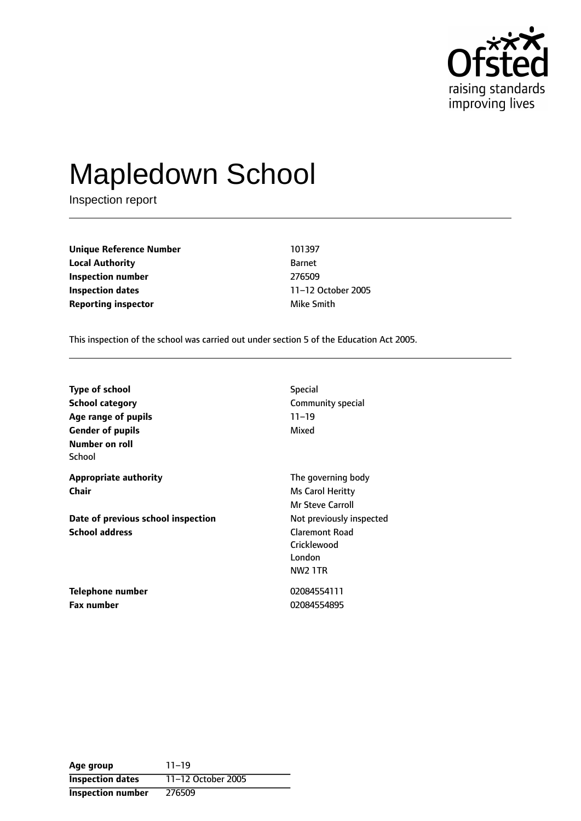

# Mapledown School

Inspection report

**Unique Reference Number** 101397 **Local Authority** Barnet **Inspection number** 276509 **Inspection dates** 11-12 October 2005 **Reporting inspector and a state of the Smith** Mike Smith

This inspection of the school was carried out under section 5 of the Education Act 2005.

| <b>Type of school</b>              | <b>Special</b>           |
|------------------------------------|--------------------------|
| <b>School category</b>             | Community special        |
| Age range of pupils                | $11 - 19$                |
| <b>Gender of pupils</b>            | Mixed                    |
| Number on roll                     |                          |
| School                             |                          |
| <b>Appropriate authority</b>       | The governing body       |
| Chair                              | Ms Carol Heritty         |
|                                    | <b>Mr Steve Carroll</b>  |
| Date of previous school inspection | Not previously inspected |
| <b>School address</b>              | <b>Claremont Road</b>    |
|                                    | Cricklewood              |
|                                    | London                   |
|                                    | <b>NW2 1TR</b>           |
| Telephone number                   | 02084554111              |

**Fax number** 02084554895

**Age** group 11-19 **Inspection dates** 11-12 October 2005 **Inspection number** 276509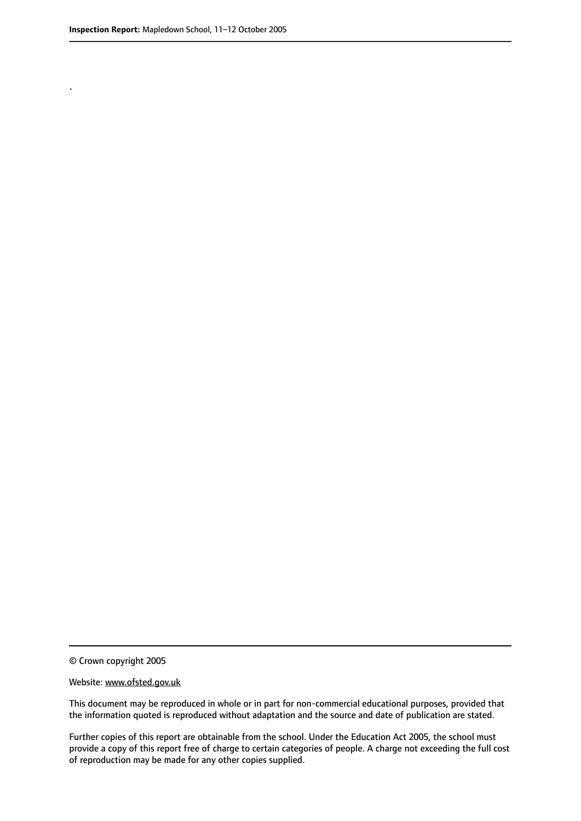.

© Crown copyright 2005

#### Website: www.ofsted.gov.uk

This document may be reproduced in whole or in part for non-commercial educational purposes, provided that the information quoted is reproduced without adaptation and the source and date of publication are stated.

Further copies of this report are obtainable from the school. Under the Education Act 2005, the school must provide a copy of this report free of charge to certain categories of people. A charge not exceeding the full cost of reproduction may be made for any other copies supplied.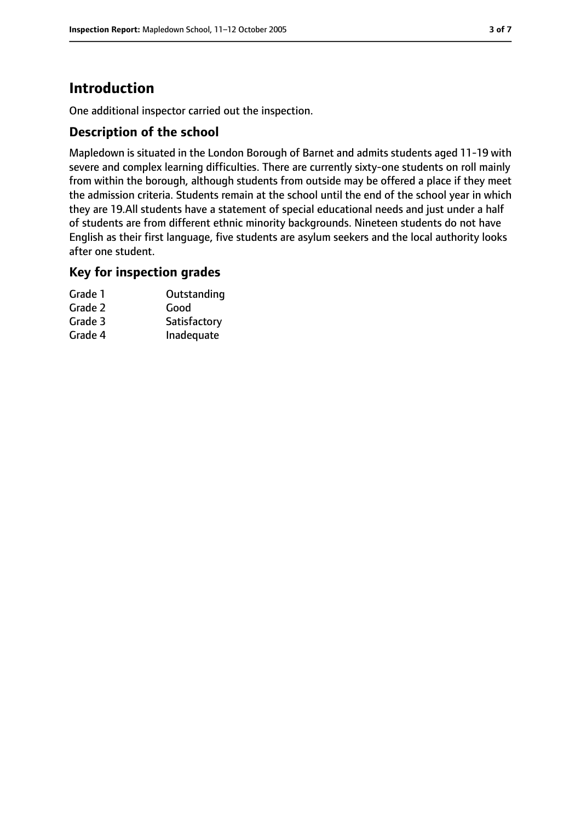# **Introduction**

One additional inspector carried out the inspection.

## **Description of the school**

Mapledown is situated in the London Borough of Barnet and admits students aged 11-19 with severe and complex learning difficulties. There are currently sixty-one students on roll mainly from within the borough, although students from outside may be offered a place if they meet the admission criteria. Students remain at the school until the end of the school year in which they are 19.All students have a statement of special educational needs and just under a half of students are from different ethnic minority backgrounds. Nineteen students do not have English as their first language, five students are asylum seekers and the local authority looks after one student.

## **Key for inspection grades**

| Grade 1 | Outstanding  |
|---------|--------------|
| Grade 2 | Good         |
| Grade 3 | Satisfactory |
| Grade 4 | Inadequate   |
|         |              |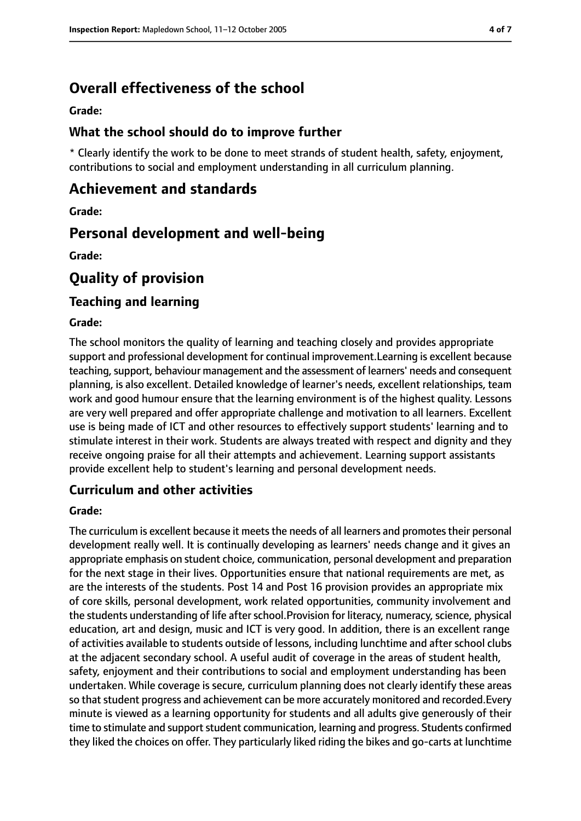# **Overall effectiveness of the school**

#### **Grade:**

## **What the school should do to improve further**

\* Clearly identify the work to be done to meet strands of student health, safety, enjoyment, contributions to social and employment understanding in all curriculum planning.

## **Achievement and standards**

**Grade:**

## **Personal development and well-being**

**Grade:**

# **Quality of provision**

## **Teaching and learning**

### **Grade:**

The school monitors the quality of learning and teaching closely and provides appropriate support and professional development for continual improvement.Learning is excellent because teaching, support, behaviour management and the assessment of learners' needs and consequent planning, is also excellent. Detailed knowledge of learner's needs, excellent relationships, team work and good humour ensure that the learning environment is of the highest quality. Lessons are very well prepared and offer appropriate challenge and motivation to all learners. Excellent use is being made of ICT and other resources to effectively support students' learning and to stimulate interest in their work. Students are always treated with respect and dignity and they receive ongoing praise for all their attempts and achievement. Learning support assistants provide excellent help to student's learning and personal development needs.

## **Curriculum and other activities**

### **Grade:**

The curriculum is excellent because it meets the needs of all learners and promotes their personal development really well. It is continually developing as learners' needs change and it gives an appropriate emphasis on student choice, communication, personal development and preparation for the next stage in their lives. Opportunities ensure that national requirements are met, as are the interests of the students. Post 14 and Post 16 provision provides an appropriate mix of core skills, personal development, work related opportunities, community involvement and the students understanding of life after school. Provision for literacy, numeracy, science, physical education, art and design, music and ICT is very good. In addition, there is an excellent range of activities available to students outside of lessons, including lunchtime and after school clubs at the adjacent secondary school. A useful audit of coverage in the areas of student health, safety, enjoyment and their contributions to social and employment understanding has been undertaken. While coverage is secure, curriculum planning does not clearly identify these areas so that student progress and achievement can be more accurately monitored and recorded.Every minute is viewed as a learning opportunity for students and all adults give generously of their time to stimulate and support student communication, learning and progress. Students confirmed they liked the choices on offer. They particularly liked riding the bikes and go-carts at lunchtime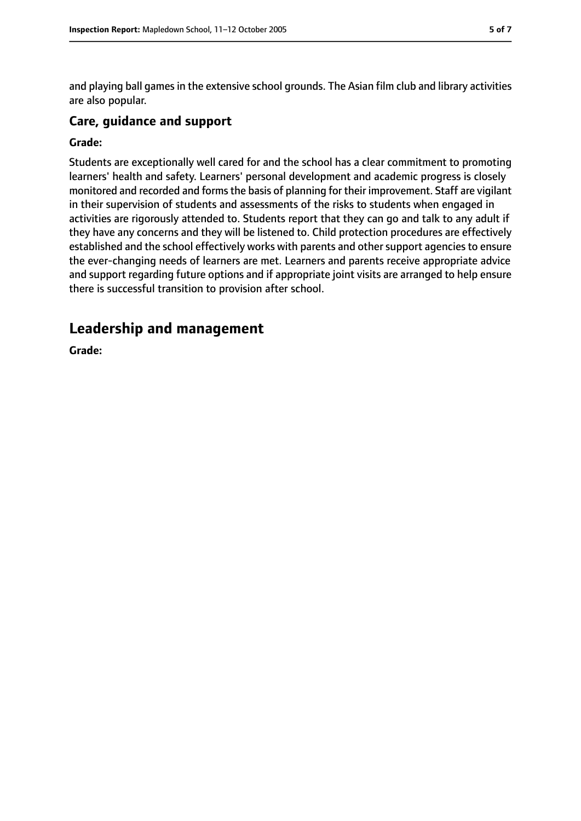and playing ball games in the extensive school grounds. The Asian film club and library activities are also popular.

## **Care, guidance and support**

#### **Grade:**

Students are exceptionally well cared for and the school has a clear commitment to promoting learners' health and safety. Learners' personal development and academic progress is closely monitored and recorded and forms the basis of planning for their improvement. Staff are vigilant in their supervision of students and assessments of the risks to students when engaged in activities are rigorously attended to. Students report that they can go and talk to any adult if they have any concerns and they will be listened to. Child protection procedures are effectively established and the school effectively works with parents and other support agencies to ensure the ever-changing needs of learners are met. Learners and parents receive appropriate advice and support regarding future options and if appropriate joint visits are arranged to help ensure there is successful transition to provision after school.

# **Leadership and management**

**Grade:**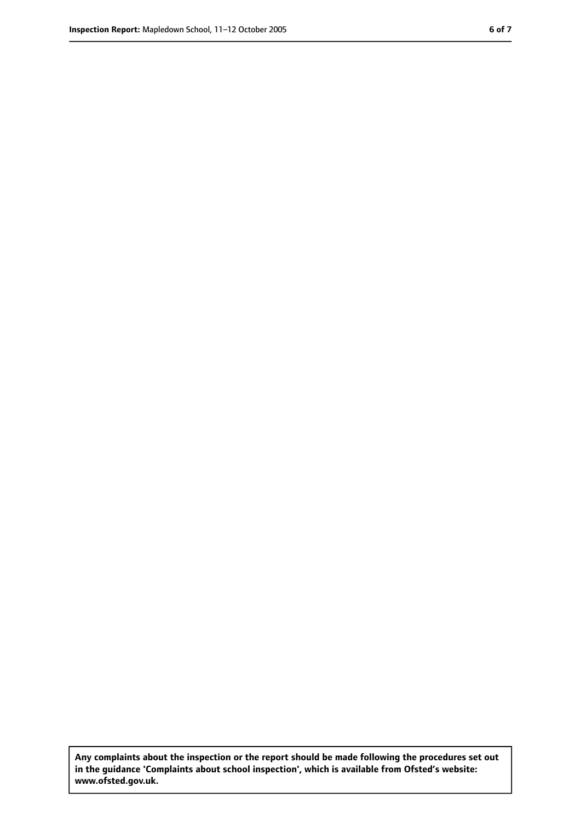**Any complaints about the inspection or the report should be made following the procedures set out in the guidance 'Complaints about school inspection', which is available from Ofsted's website: www.ofsted.gov.uk.**